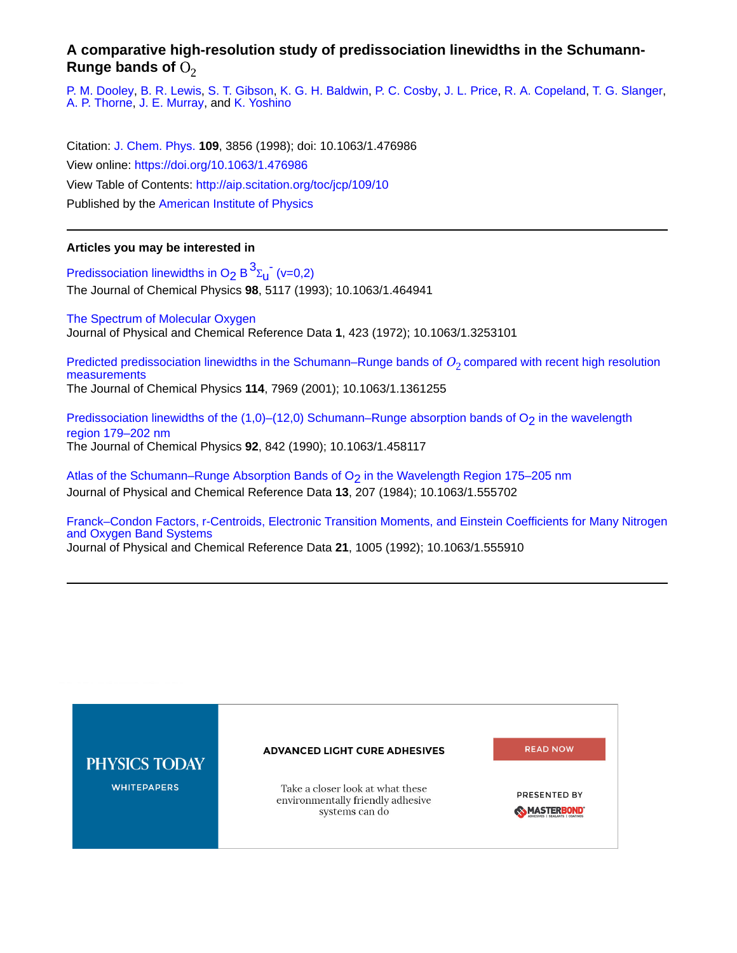## **A comparative high-resolution study of predissociation linewidths in the Schumann-Runge bands of**

[P. M. Dooley](http://aip.scitation.org/author/Dooley%2C+P+M), [B. R. Lewis](http://aip.scitation.org/author/Lewis%2C+B+R), [S. T. Gibson](http://aip.scitation.org/author/Gibson%2C+S+T), [K. G. H. Baldwin](http://aip.scitation.org/author/Baldwin%2C+K+G+H), [P. C. Cosby,](http://aip.scitation.org/author/Cosby%2C+P+C) [J. L. Price,](http://aip.scitation.org/author/Price%2C+J+L) [R. A. Copeland,](http://aip.scitation.org/author/Copeland%2C+R+A) [T. G. Slanger,](http://aip.scitation.org/author/Slanger%2C+T+G) [A. P. Thorne](http://aip.scitation.org/author/Thorne%2C+A+P), [J. E. Murray,](http://aip.scitation.org/author/Murray%2C+J+E) and [K. Yoshino](http://aip.scitation.org/author/Yoshino%2C+K)

Citation: [J. Chem. Phys.](/loi/jcp) **109**, 3856 (1998); doi: 10.1063/1.476986 View online: <https://doi.org/10.1063/1.476986> View Table of Contents: <http://aip.scitation.org/toc/jcp/109/10> Published by the [American Institute of Physics](http://aip.scitation.org/publisher/)

## **Articles you may be interested in**

Predissociation linewidths in O<sub>2</sub> B $^3\Sigma_{\rm U}^{+}$  (v=0,2) The Journal of Chemical Physics **98**, 5117 (1993); 10.1063/1.464941

[The Spectrum of Molecular Oxygen](http://aip.scitation.org/doi/abs/10.1063/1.3253101) Journal of Physical and Chemical Reference Data **1**, 423 (1972); 10.1063/1.3253101

Predicted predissociation linewidths in the Schumann–Runge bands of  $O_2$  compared with recent high resolution [measurements](http://aip.scitation.org/doi/abs/10.1063/1.1361255)

The Journal of Chemical Physics **114**, 7969 (2001); 10.1063/1.1361255

Predissociation linewidths of the  $(1,0)$ – $(12,0)$  Schumann–Runge absorption bands of O<sub>2</sub> in the wavelength [region 179–202 nm](http://aip.scitation.org/doi/abs/10.1063/1.458117) The Journal of Chemical Physics **92**, 842 (1990); 10.1063/1.458117

Atlas of the Schumann–Runge Absorption Bands of  $O<sub>2</sub>$  in the Wavelength Region 175–205 nm Journal of Physical and Chemical Reference Data **13**, 207 (1984); 10.1063/1.555702

[Franck–Condon Factors, r-Centroids, Electronic Transition Moments, and Einstein Coefficients for Many Nitrogen](http://aip.scitation.org/doi/abs/10.1063/1.555910) [and Oxygen Band Systems](http://aip.scitation.org/doi/abs/10.1063/1.555910) Journal of Physical and Chemical Reference Data **21**, 1005 (1992); 10.1063/1.555910

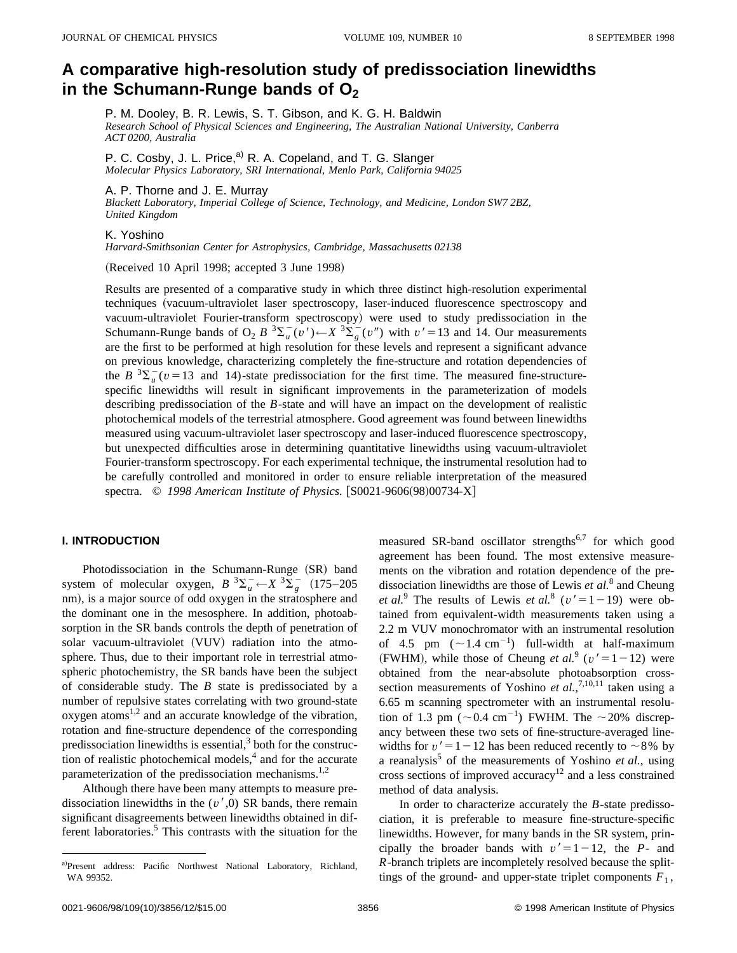# **A comparative high-resolution study of predissociation linewidths** in the Schumann-Runge bands of O<sub>2</sub>

P. M. Dooley, B. R. Lewis, S. T. Gibson, and K. G. H. Baldwin *Research School of Physical Sciences and Engineering, The Australian National University, Canberra ACT 0200, Australia*

P. C. Cosby, J. L. Price,<sup>a)</sup> R. A. Copeland, and T. G. Slanger *Molecular Physics Laboratory, SRI International, Menlo Park, California 94025*

A. P. Thorne and J. E. Murray

*Blackett Laboratory, Imperial College of Science, Technology, and Medicine, London SW7 2BZ, United Kingdom*

K. Yoshino

*Harvard-Smithsonian Center for Astrophysics, Cambridge, Massachusetts 02138*

(Received 10 April 1998; accepted 3 June 1998)

Results are presented of a comparative study in which three distinct high-resolution experimental techniques (vacuum-ultraviolet laser spectroscopy, laser-induced fluorescence spectroscopy and vacuum-ultraviolet Fourier-transform spectroscopy) were used to study predissociation in the Schumann-Runge bands of O<sub>2</sub> *B*  ${}^3\Sigma_u^-(v') \leftarrow X {}^3\Sigma_g^-(v'')$  with  $v' = 13$  and 14. Our measurements are the first to be performed at high resolution for these levels and represent a significant advance on previous knowledge, characterizing completely the fine-structure and rotation dependencies of the *B*  ${}^{3}\Sigma_{u}^{-}(v=13)$  and 14)-state predissociation for the first time. The measured fine-structurespecific linewidths will result in significant improvements in the parameterization of models describing predissociation of the *B*-state and will have an impact on the development of realistic photochemical models of the terrestrial atmosphere. Good agreement was found between linewidths measured using vacuum-ultraviolet laser spectroscopy and laser-induced fluorescence spectroscopy, but unexpected difficulties arose in determining quantitative linewidths using vacuum-ultraviolet Fourier-transform spectroscopy. For each experimental technique, the instrumental resolution had to be carefully controlled and monitored in order to ensure reliable interpretation of the measured spectra. © 1998 American Institute of Physics. [S0021-9606(98)00734-X]

#### **I. INTRODUCTION**

Photodissociation in the Schumann-Runge (SR) band system of molecular oxygen,  $B^{-3}\Sigma_{u}^{-} \leftarrow X^{-3}\Sigma_{g}^{-}$  (175–205 nm), is a major source of odd oxygen in the stratosphere and the dominant one in the mesosphere. In addition, photoabsorption in the SR bands controls the depth of penetration of solar vacuum-ultraviolet (VUV) radiation into the atmosphere. Thus, due to their important role in terrestrial atmospheric photochemistry, the SR bands have been the subject of considerable study. The *B* state is predissociated by a number of repulsive states correlating with two ground-state  $oxygen atoms<sup>1,2</sup>$  and an accurate knowledge of the vibration, rotation and fine-structure dependence of the corresponding predissociation linewidths is essential, $3$  both for the construction of realistic photochemical models, $4$  and for the accurate parameterization of the predissociation mechanisms. $1,2$ 

Although there have been many attempts to measure predissociation linewidths in the  $(v',0)$  SR bands, there remain significant disagreements between linewidths obtained in different laboratories.<sup>5</sup> This contrasts with the situation for the measured SR-band oscillator strengths $6,7$  for which good agreement has been found. The most extensive measurements on the vibration and rotation dependence of the predissociation linewidths are those of Lewis *et al.*<sup>8</sup> and Cheung *et al.*<sup>9</sup> The results of Lewis *et al.*<sup>8</sup> ( $v' = 1 - 19$ ) were obtained from equivalent-width measurements taken using a 2.2 m VUV monochromator with an instrumental resolution of 4.5 pm  $({\sim}1.4 \text{ cm}^{-1})$  full-width at half-maximum (FWHM), while those of Cheung *et al.*<sup>9</sup> ( $v' = 1 - 12$ ) were obtained from the near-absolute photoabsorption crosssection measurements of Yoshino *et al.*,<sup>7,10,11</sup> taken using a 6.65 m scanning spectrometer with an instrumental resolution of 1.3 pm ( $\sim$ 0.4 cm<sup>-1</sup>) FWHM. The  $\sim$ 20% discrepancy between these two sets of fine-structure-averaged linewidths for  $v' = 1 - 12$  has been reduced recently to  $\sim 8\%$  by a reanalysis<sup>5</sup> of the measurements of Yoshino *et al.*, using cross sections of improved accuracy<sup>12</sup> and a less constrained method of data analysis.

In order to characterize accurately the *B*-state predissociation, it is preferable to measure fine-structure-specific linewidths. However, for many bands in the SR system, principally the broader bands with  $v' = 1 - 12$ , the *P*- and *R*-branch triplets are incompletely resolved because the splittings of the ground- and upper-state triplet components  $F_1$ ,

a)Present address: Pacific Northwest National Laboratory, Richland, WA 99352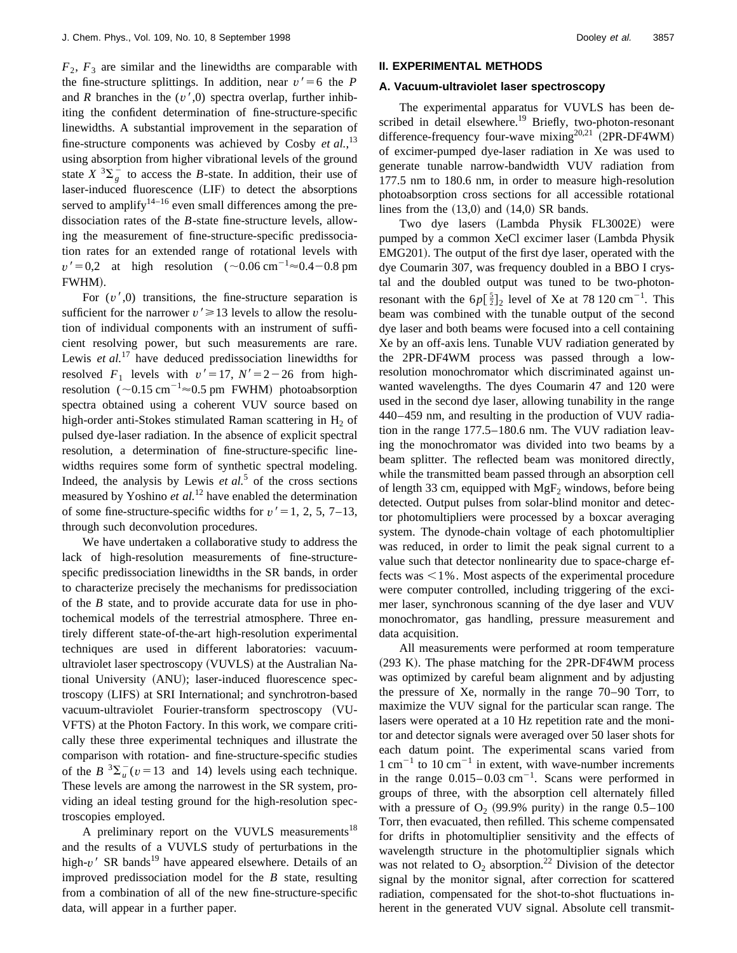$F_2$ ,  $F_3$  are similar and the linewidths are comparable with the fine-structure splittings. In addition, near  $v' = 6$  the *P* and *R* branches in the  $(v', 0)$  spectra overlap, further inhibiting the confident determination of fine-structure-specific linewidths. A substantial improvement in the separation of fine-structure components was achieved by Cosby *et al.*,<sup>13</sup> using absorption from higher vibrational levels of the ground state  $X^3 \Sigma_g^-$  to access the *B*-state. In addition, their use of laser-induced fluorescence (LIF) to detect the absorptions served to amplify $14-16$  even small differences among the predissociation rates of the *B*-state fine-structure levels, allowing the measurement of fine-structure-specific predissociation rates for an extended range of rotational levels with  $v' = 0.2$  at high resolution ( $\sim 0.06 \text{ cm}^{-1} \approx 0.4 - 0.8 \text{ pm}$ FWHM).

For  $(v',0)$  transitions, the fine-structure separation is sufficient for the narrower  $v' \ge 13$  levels to allow the resolution of individual components with an instrument of sufficient resolving power, but such measurements are rare. Lewis *et al.*<sup>17</sup> have deduced predissociation linewidths for resolved  $F_1$  levels with  $v' = 17$ ,  $N' = 2 - 26$  from highresolution  $({\sim}0.15 \text{ cm}^{-1} {\approx} 0.5 \text{ pm}$  FWHM) photoabsorption spectra obtained using a coherent VUV source based on high-order anti-Stokes stimulated Raman scattering in  $H_2$  of pulsed dye-laser radiation. In the absence of explicit spectral resolution, a determination of fine-structure-specific linewidths requires some form of synthetic spectral modeling. Indeed, the analysis by Lewis *et al.*<sup>5</sup> of the cross sections measured by Yoshino *et al.*<sup>12</sup> have enabled the determination of some fine-structure-specific widths for  $v' = 1, 2, 5, 7-13$ , through such deconvolution procedures.

We have undertaken a collaborative study to address the lack of high-resolution measurements of fine-structurespecific predissociation linewidths in the SR bands, in order to characterize precisely the mechanisms for predissociation of the *B* state, and to provide accurate data for use in photochemical models of the terrestrial atmosphere. Three entirely different state-of-the-art high-resolution experimental techniques are used in different laboratories: vacuumultraviolet laser spectroscopy (VUVLS) at the Australian National University (ANU); laser-induced fluorescence spectroscopy (LIFS) at SRI International; and synchrotron-based vacuum-ultraviolet Fourier-transform spectroscopy (VU-VFTS) at the Photon Factory. In this work, we compare critically these three experimental techniques and illustrate the comparison with rotation- and fine-structure-specific studies of the  $B^{-3}\Sigma_{u}^{-}(v=13)$  and 14) levels using each technique. These levels are among the narrowest in the SR system, providing an ideal testing ground for the high-resolution spectroscopies employed.

A preliminary report on the VUVLS measurements<sup>18</sup> and the results of a VUVLS study of perturbations in the high- $v'$  SR bands<sup>19</sup> have appeared elsewhere. Details of an improved predissociation model for the *B* state, resulting from a combination of all of the new fine-structure-specific data, will appear in a further paper.

#### **II. EXPERIMENTAL METHODS**

#### **A. Vacuum-ultraviolet laser spectroscopy**

The experimental apparatus for VUVLS has been described in detail elsewhere.<sup>19</sup> Briefly, two-photon-resonant difference-frequency four-wave mixing $^{20,21}$  (2PR-DF4WM) of excimer-pumped dye-laser radiation in Xe was used to generate tunable narrow-bandwidth VUV radiation from 177.5 nm to 180.6 nm, in order to measure high-resolution photoabsorption cross sections for all accessible rotational lines from the  $(13,0)$  and  $(14,0)$  SR bands.

Two dye lasers (Lambda Physik FL3002E) were pumped by a common XeCl excimer laser (Lambda Physik EMG201). The output of the first dye laser, operated with the dye Coumarin 307, was frequency doubled in a BBO I crystal and the doubled output was tuned to be two-photonresonant with the  $6p[\frac{5}{2}]_2$  level of Xe at 78 120 cm<sup>-1</sup>. This beam was combined with the tunable output of the second dye laser and both beams were focused into a cell containing Xe by an off-axis lens. Tunable VUV radiation generated by the 2PR-DF4WM process was passed through a lowresolution monochromator which discriminated against unwanted wavelengths. The dyes Coumarin 47 and 120 were used in the second dye laser, allowing tunability in the range 440–459 nm, and resulting in the production of VUV radiation in the range 177.5–180.6 nm. The VUV radiation leaving the monochromator was divided into two beams by a beam splitter. The reflected beam was monitored directly, while the transmitted beam passed through an absorption cell of length 33 cm, equipped with  $MgF<sub>2</sub>$  windows, before being detected. Output pulses from solar-blind monitor and detector photomultipliers were processed by a boxcar averaging system. The dynode-chain voltage of each photomultiplier was reduced, in order to limit the peak signal current to a value such that detector nonlinearity due to space-charge effects was  $\leq$ 1%. Most aspects of the experimental procedure were computer controlled, including triggering of the excimer laser, synchronous scanning of the dye laser and VUV monochromator, gas handling, pressure measurement and data acquisition.

All measurements were performed at room temperature  $(293 \text{ K})$ . The phase matching for the 2PR-DF4WM process was optimized by careful beam alignment and by adjusting the pressure of Xe, normally in the range 70–90 Torr, to maximize the VUV signal for the particular scan range. The lasers were operated at a 10 Hz repetition rate and the monitor and detector signals were averaged over 50 laser shots for each datum point. The experimental scans varied from  $1 \text{ cm}^{-1}$  to  $10 \text{ cm}^{-1}$  in extent, with wave-number increments in the range  $0.015-0.03$  cm<sup>-1</sup>. Scans were performed in groups of three, with the absorption cell alternately filled with a pressure of  $O_2$  (99.9% purity) in the range 0.5–100 Torr, then evacuated, then refilled. This scheme compensated for drifts in photomultiplier sensitivity and the effects of wavelength structure in the photomultiplier signals which was not related to  $O_2$  absorption.<sup>22</sup> Division of the detector signal by the monitor signal, after correction for scattered radiation, compensated for the shot-to-shot fluctuations inherent in the generated VUV signal. Absolute cell transmit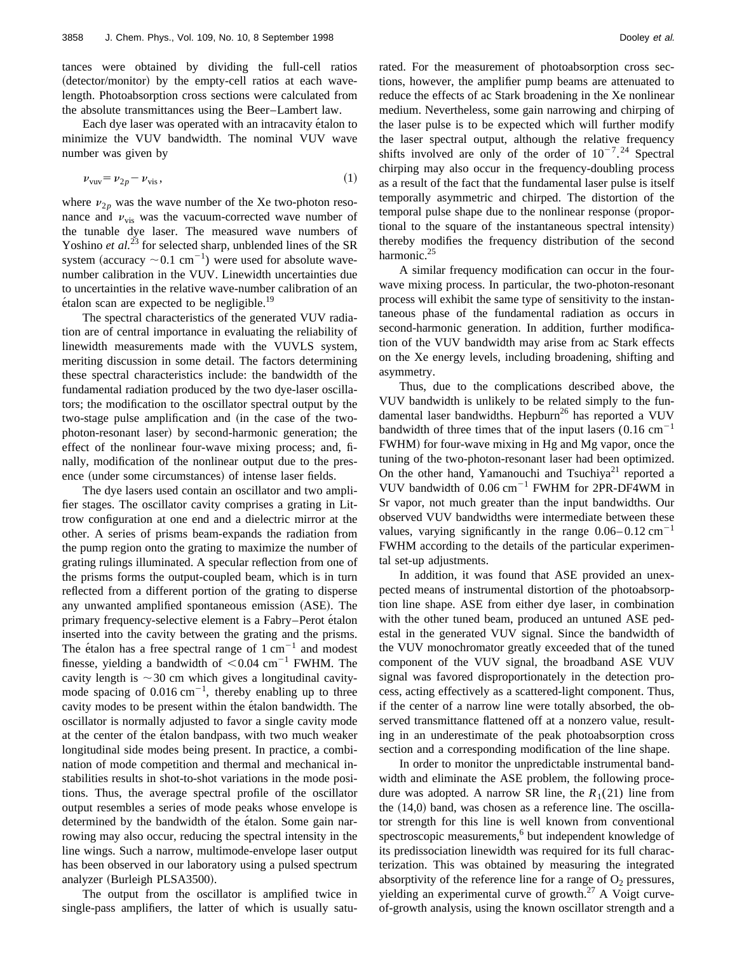tances were obtained by dividing the full-cell ratios (detector/monitor) by the empty-cell ratios at each wavelength. Photoabsorption cross sections were calculated from the absolute transmittances using the Beer–Lambert law.

Each dye laser was operated with an intracavity étalon to minimize the VUV bandwidth. The nominal VUV wave number was given by

$$
\nu_{\text{vuv}} = \nu_{2p} - \nu_{\text{vis}}\,,\tag{1}
$$

where  $\nu_{2p}$  was the wave number of the Xe two-photon resonance and  $v_{\text{vis}}$  was the vacuum-corrected wave number of the tunable dye laser. The measured wave numbers of Yoshino *et al.*<sup>23</sup> for selected sharp, unblended lines of the SR system (accuracy  $\sim 0.1$  cm<sup>-1</sup>) were used for absolute wavenumber calibration in the VUV. Linewidth uncertainties due to uncertainties in the relative wave-number calibration of an  $\acute{\text{e}}$ talon scan are expected to be negligible.<sup>19</sup>

The spectral characteristics of the generated VUV radiation are of central importance in evaluating the reliability of linewidth measurements made with the VUVLS system, meriting discussion in some detail. The factors determining these spectral characteristics include: the bandwidth of the fundamental radiation produced by the two dye-laser oscillators; the modification to the oscillator spectral output by the two-stage pulse amplification and (in the case of the twophoton-resonant laser) by second-harmonic generation; the effect of the nonlinear four-wave mixing process; and, finally, modification of the nonlinear output due to the presence (under some circumstances) of intense laser fields.

The dye lasers used contain an oscillator and two amplifier stages. The oscillator cavity comprises a grating in Littrow configuration at one end and a dielectric mirror at the other. A series of prisms beam-expands the radiation from the pump region onto the grating to maximize the number of grating rulings illuminated. A specular reflection from one of the prisms forms the output-coupled beam, which is in turn reflected from a different portion of the grating to disperse any unwanted amplified spontaneous emission (ASE). The primary frequency-selective element is a Fabry–Perot étalon inserted into the cavity between the grating and the prisms. The étalon has a free spectral range of  $1 \text{ cm}^{-1}$  and modest finesse, yielding a bandwidth of  $< 0.04$  cm<sup>-1</sup> FWHM. The cavity length is  $\sim$  30 cm which gives a longitudinal cavitymode spacing of  $0.016 \text{ cm}^{-1}$ , thereby enabling up to three cavity modes to be present within the étalon bandwidth. The oscillator is normally adjusted to favor a single cavity mode at the center of the étalon bandpass, with two much weaker longitudinal side modes being present. In practice, a combination of mode competition and thermal and mechanical instabilities results in shot-to-shot variations in the mode positions. Thus, the average spectral profile of the oscillator output resembles a series of mode peaks whose envelope is determined by the bandwidth of the étalon. Some gain narrowing may also occur, reducing the spectral intensity in the line wings. Such a narrow, multimode-envelope laser output has been observed in our laboratory using a pulsed spectrum analyzer (Burleigh PLSA3500).

The output from the oscillator is amplified twice in single-pass amplifiers, the latter of which is usually saturated. For the measurement of photoabsorption cross sections, however, the amplifier pump beams are attenuated to reduce the effects of ac Stark broadening in the Xe nonlinear medium. Nevertheless, some gain narrowing and chirping of the laser pulse is to be expected which will further modify the laser spectral output, although the relative frequency shifts involved are only of the order of  $10^{-7}$ .<sup>24</sup> Spectral chirping may also occur in the frequency-doubling process as a result of the fact that the fundamental laser pulse is itself temporally asymmetric and chirped. The distortion of the temporal pulse shape due to the nonlinear response (proportional to the square of the instantaneous spectral intensity) thereby modifies the frequency distribution of the second harmonic.<sup>25</sup>

A similar frequency modification can occur in the fourwave mixing process. In particular, the two-photon-resonant process will exhibit the same type of sensitivity to the instantaneous phase of the fundamental radiation as occurs in second-harmonic generation. In addition, further modification of the VUV bandwidth may arise from ac Stark effects on the Xe energy levels, including broadening, shifting and asymmetry.

Thus, due to the complications described above, the VUV bandwidth is unlikely to be related simply to the fundamental laser bandwidths. Hepburn<sup>26</sup> has reported a VUV bandwidth of three times that of the input lasers  $(0.16 \text{ cm}^{-1})$ FWHM) for four-wave mixing in Hg and Mg vapor, once the tuning of the two-photon-resonant laser had been optimized. On the other hand, Yamanouchi and Tsuchiya<sup>21</sup> reported a VUV bandwidth of  $0.06$  cm<sup>-1</sup> FWHM for 2PR-DF4WM in Sr vapor, not much greater than the input bandwidths. Our observed VUV bandwidths were intermediate between these values, varying significantly in the range  $0.06-0.12$  cm<sup>-1</sup> FWHM according to the details of the particular experimental set-up adjustments.

In addition, it was found that ASE provided an unexpected means of instrumental distortion of the photoabsorption line shape. ASE from either dye laser, in combination with the other tuned beam, produced an untuned ASE pedestal in the generated VUV signal. Since the bandwidth of the VUV monochromator greatly exceeded that of the tuned component of the VUV signal, the broadband ASE VUV signal was favored disproportionately in the detection process, acting effectively as a scattered-light component. Thus, if the center of a narrow line were totally absorbed, the observed transmittance flattened off at a nonzero value, resulting in an underestimate of the peak photoabsorption cross section and a corresponding modification of the line shape.

In order to monitor the unpredictable instrumental bandwidth and eliminate the ASE problem, the following procedure was adopted. A narrow SR line, the  $R_1(21)$  line from the  $(14,0)$  band, was chosen as a reference line. The oscillator strength for this line is well known from conventional spectroscopic measurements,<sup>6</sup> but independent knowledge of its predissociation linewidth was required for its full characterization. This was obtained by measuring the integrated absorptivity of the reference line for a range of  $O_2$  pressures, yielding an experimental curve of growth. $27$  A Voigt curveof-growth analysis, using the known oscillator strength and a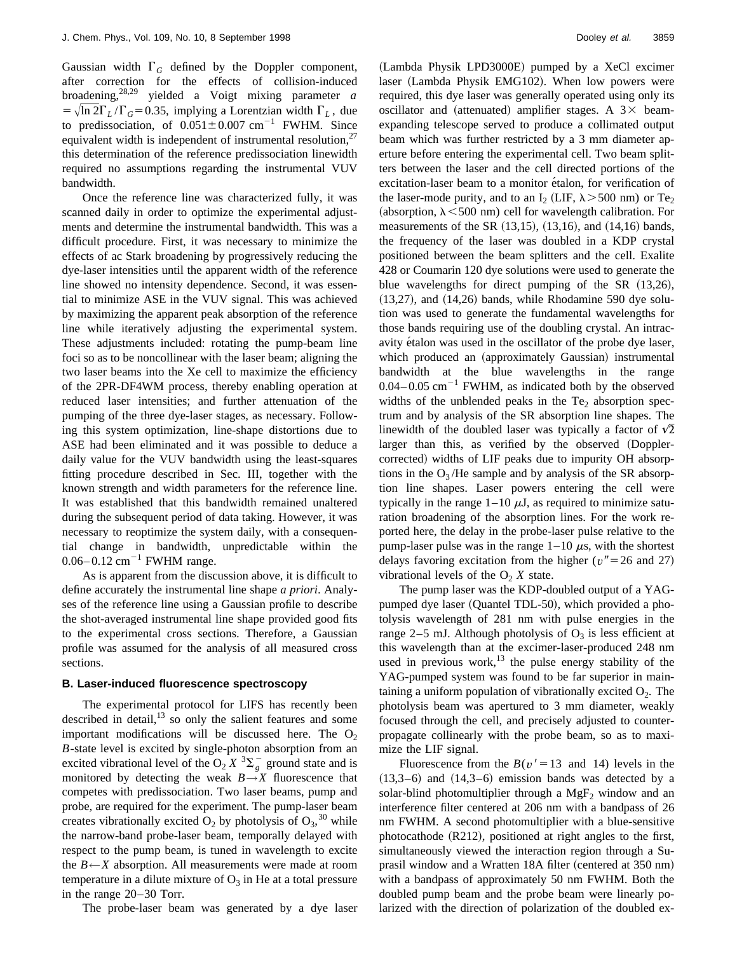Gaussian width  $\Gamma_G$  defined by the Doppler component, after correction for the effects of collision-induced broadening,28,29 yielded a Voigt mixing parameter *a*  $=\sqrt{\ln 2}\Gamma_L/\Gamma_G=0.35$ , implying a Lorentzian width  $\Gamma_L$ , due to predissociation, of  $0.051 \pm 0.007$  cm<sup>-1</sup> FWHM. Since equivalent width is independent of instrumental resolution, $27$ this determination of the reference predissociation linewidth required no assumptions regarding the instrumental VUV bandwidth.

Once the reference line was characterized fully, it was scanned daily in order to optimize the experimental adjustments and determine the instrumental bandwidth. This was a difficult procedure. First, it was necessary to minimize the effects of ac Stark broadening by progressively reducing the dye-laser intensities until the apparent width of the reference line showed no intensity dependence. Second, it was essential to minimize ASE in the VUV signal. This was achieved by maximizing the apparent peak absorption of the reference line while iteratively adjusting the experimental system. These adjustments included: rotating the pump-beam line foci so as to be noncollinear with the laser beam; aligning the two laser beams into the Xe cell to maximize the efficiency of the 2PR-DF4WM process, thereby enabling operation at reduced laser intensities; and further attenuation of the pumping of the three dye-laser stages, as necessary. Following this system optimization, line-shape distortions due to ASE had been eliminated and it was possible to deduce a daily value for the VUV bandwidth using the least-squares fitting procedure described in Sec. III, together with the known strength and width parameters for the reference line. It was established that this bandwidth remained unaltered during the subsequent period of data taking. However, it was necessary to reoptimize the system daily, with a consequential change in bandwidth, unpredictable within the  $0.06 - 0.12$  cm<sup>-1</sup> FWHM range.

As is apparent from the discussion above, it is difficult to define accurately the instrumental line shape *a priori*. Analyses of the reference line using a Gaussian profile to describe the shot-averaged instrumental line shape provided good fits to the experimental cross sections. Therefore, a Gaussian profile was assumed for the analysis of all measured cross sections.

#### **B. Laser-induced fluorescence spectroscopy**

The experimental protocol for LIFS has recently been described in detail, $13$  so only the salient features and some important modifications will be discussed here. The  $O<sub>2</sub>$ *B*-state level is excited by single-photon absorption from an excited vibrational level of the  $O_2 X 3 \sum_{g}$  ground state and is monitored by detecting the weak  $B \rightarrow X$  fluorescence that competes with predissociation. Two laser beams, pump and probe, are required for the experiment. The pump-laser beam creates vibrationally excited  $O_2$  by photolysis of  $O_3$ ,  $30$  while the narrow-band probe-laser beam, temporally delayed with respect to the pump beam, is tuned in wavelength to excite the *B←X* absorption. All measurements were made at room temperature in a dilute mixture of  $O_3$  in He at a total pressure in the range 20–30 Torr.

The probe-laser beam was generated by a dye laser

(Lambda Physik LPD3000E) pumped by a XeCl excimer laser (Lambda Physik EMG102). When low powers were required, this dye laser was generally operated using only its oscillator and (attenuated) amplifier stages. A  $3\times$  beamexpanding telescope served to produce a collimated output beam which was further restricted by a 3 mm diameter aperture before entering the experimental cell. Two beam splitters between the laser and the cell directed portions of the excitation-laser beam to a monitor étalon, for verification of the laser-mode purity, and to an  $I_2$  (LIF,  $\lambda > 500$  nm) or Te<sub>2</sub> (absorption,  $\lambda$  < 500 nm) cell for wavelength calibration. For measurements of the SR  $(13,15)$ ,  $(13,16)$ , and  $(14,16)$  bands, the frequency of the laser was doubled in a KDP crystal positioned between the beam splitters and the cell. Exalite 428 or Coumarin 120 dye solutions were used to generate the blue wavelengths for direct pumping of the SR  $(13,26)$ ,  $(13,27)$ , and  $(14,26)$  bands, while Rhodamine 590 dye solution was used to generate the fundamental wavelengths for those bands requiring use of the doubling crystal. An intracavity étalon was used in the oscillator of the probe dye laser, which produced an (approximately Gaussian) instrumental bandwidth at the blue wavelengths in the range  $0.04 - 0.05$  cm<sup>-1</sup> FWHM, as indicated both by the observed widths of the unblended peaks in the  $Te<sub>2</sub>$  absorption spectrum and by analysis of the SR absorption line shapes. The linewidth of the doubled laser was typically a factor of  $\sqrt{2}$ larger than this, as verified by the observed (Dopplercorrected) widths of LIF peaks due to impurity OH absorptions in the  $O_3$ /He sample and by analysis of the SR absorption line shapes. Laser powers entering the cell were typically in the range  $1-10 \mu J$ , as required to minimize saturation broadening of the absorption lines. For the work reported here, the delay in the probe-laser pulse relative to the pump-laser pulse was in the range  $1-10 \mu s$ , with the shortest delays favoring excitation from the higher ( $v'' = 26$  and 27) vibrational levels of the  $O_2$  *X* state.

The pump laser was the KDP-doubled output of a YAGpumped dye laser (Quantel TDL-50), which provided a photolysis wavelength of 281 nm with pulse energies in the range 2–5 mJ. Although photolysis of  $O_3$  is less efficient at this wavelength than at the excimer-laser-produced 248 nm used in previous work,<sup>13</sup> the pulse energy stability of the YAG-pumped system was found to be far superior in maintaining a uniform population of vibrationally excited  $O<sub>2</sub>$ . The photolysis beam was apertured to 3 mm diameter, weakly focused through the cell, and precisely adjusted to counterpropagate collinearly with the probe beam, so as to maximize the LIF signal.

Fluorescence from the  $B(v' = 13$  and 14) levels in the  $(13,3-6)$  and  $(14,3-6)$  emission bands was detected by a solar-blind photomultiplier through a  $MgF_2$  window and an interference filter centered at 206 nm with a bandpass of 26 nm FWHM. A second photomultiplier with a blue-sensitive photocathode  $(R212)$ , positioned at right angles to the first, simultaneously viewed the interaction region through a Suprasil window and a Wratten 18A filter (centered at 350 nm) with a bandpass of approximately 50 nm FWHM. Both the doubled pump beam and the probe beam were linearly polarized with the direction of polarization of the doubled ex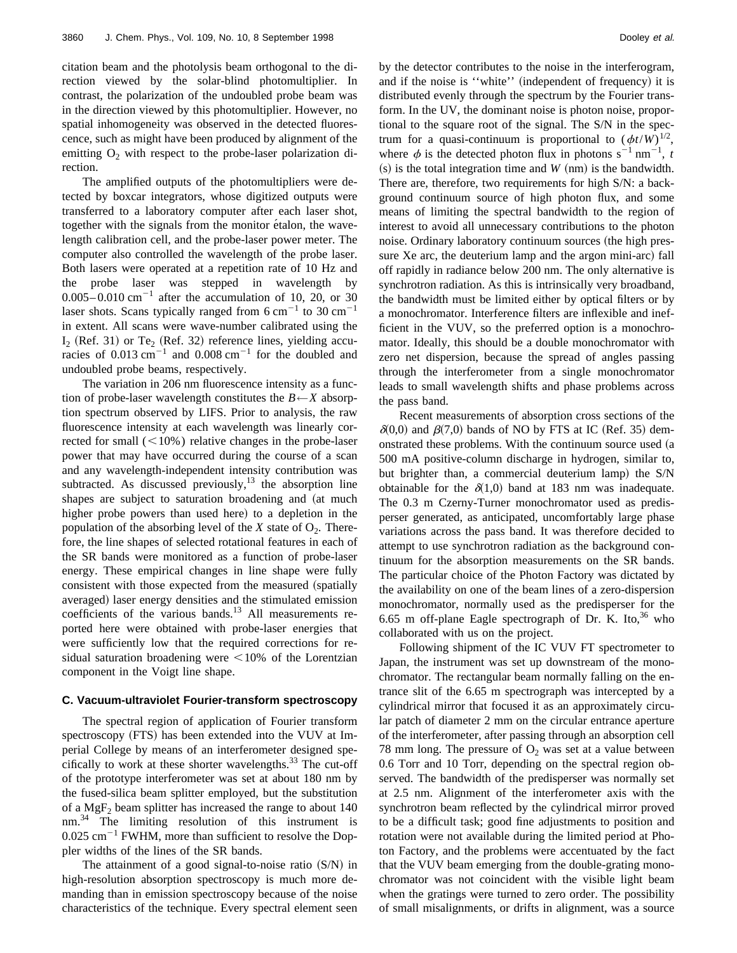citation beam and the photolysis beam orthogonal to the direction viewed by the solar-blind photomultiplier. In contrast, the polarization of the undoubled probe beam was in the direction viewed by this photomultiplier. However, no spatial inhomogeneity was observed in the detected fluorescence, such as might have been produced by alignment of the emitting  $O_2$  with respect to the probe-laser polarization direction.

The amplified outputs of the photomultipliers were detected by boxcar integrators, whose digitized outputs were transferred to a laboratory computer after each laser shot, together with the signals from the monitor étalon, the wavelength calibration cell, and the probe-laser power meter. The computer also controlled the wavelength of the probe laser. Both lasers were operated at a repetition rate of 10 Hz and the probe laser was stepped in wavelength by  $0.005 - 0.010$  cm<sup>-1</sup> after the accumulation of 10, 20, or 30 laser shots. Scans typically ranged from 6 cm<sup>-1</sup> to 30 cm<sup>-1</sup> in extent. All scans were wave-number calibrated using the  $I_2$  (Ref. 31) or Te<sub>2</sub> (Ref. 32) reference lines, yielding accuracies of  $0.013$  cm<sup>-1</sup> and  $0.008$  cm<sup>-1</sup> for the doubled and undoubled probe beams, respectively.

The variation in 206 nm fluorescence intensity as a function of probe-laser wavelength constitutes the  $B \leftarrow X$  absorption spectrum observed by LIFS. Prior to analysis, the raw fluorescence intensity at each wavelength was linearly corrected for small  $(<10\%)$  relative changes in the probe-laser power that may have occurred during the course of a scan and any wavelength-independent intensity contribution was subtracted. As discussed previously,  $13$  the absorption line shapes are subject to saturation broadening and (at much higher probe powers than used here) to a depletion in the population of the absorbing level of the  $X$  state of  $O_2$ . Therefore, the line shapes of selected rotational features in each of the SR bands were monitored as a function of probe-laser energy. These empirical changes in line shape were fully consistent with those expected from the measured (spatially averaged) laser energy densities and the stimulated emission coefficients of the various bands.<sup>13</sup> All measurements reported here were obtained with probe-laser energies that were sufficiently low that the required corrections for residual saturation broadening were  $\leq 10\%$  of the Lorentzian component in the Voigt line shape.

#### **C. Vacuum-ultraviolet Fourier-transform spectroscopy**

The spectral region of application of Fourier transform spectroscopy (FTS) has been extended into the VUV at Imperial College by means of an interferometer designed specifically to work at these shorter wavelengths.<sup>33</sup> The cut-off of the prototype interferometer was set at about 180 nm by the fused-silica beam splitter employed, but the substitution of a  $MgF<sub>2</sub>$  beam splitter has increased the range to about 140 nm.<sup>34</sup> The limiting resolution of this instrument is  $0.025$  cm<sup>-1</sup> FWHM, more than sufficient to resolve the Doppler widths of the lines of the SR bands.

The attainment of a good signal-to-noise ratio  $(S/N)$  in high-resolution absorption spectroscopy is much more demanding than in emission spectroscopy because of the noise characteristics of the technique. Every spectral element seen by the detector contributes to the noise in the interferogram, and if the noise is "white" (independent of frequency) it is distributed evenly through the spectrum by the Fourier transform. In the UV, the dominant noise is photon noise, proportional to the square root of the signal. The S/N in the spectrum for a quasi-continuum is proportional to  $(\phi t/W)^{1/2}$ , where  $\phi$  is the detected photon flux in photons s<sup>-1</sup> nm<sup>-1</sup>, *t*  $\sigma$  is the total integration time and *W* (nm) is the bandwidth. There are, therefore, two requirements for high S/N: a background continuum source of high photon flux, and some means of limiting the spectral bandwidth to the region of interest to avoid all unnecessary contributions to the photon noise. Ordinary laboratory continuum sources (the high pressure Xe arc, the deuterium lamp and the argon mini-arc) fall off rapidly in radiance below 200 nm. The only alternative is synchrotron radiation. As this is intrinsically very broadband, the bandwidth must be limited either by optical filters or by a monochromator. Interference filters are inflexible and inefficient in the VUV, so the preferred option is a monochromator. Ideally, this should be a double monochromator with zero net dispersion, because the spread of angles passing through the interferometer from a single monochromator leads to small wavelength shifts and phase problems across the pass band.

Recent measurements of absorption cross sections of the  $\delta(0,0)$  and  $\beta(7,0)$  bands of NO by FTS at IC (Ref. 35) demonstrated these problems. With the continuum source used (a 500 mA positive-column discharge in hydrogen, similar to, but brighter than, a commercial deuterium lamp) the  $S/N$ obtainable for the  $\delta(1,0)$  band at 183 nm was inadequate. The 0.3 m Czerny-Turner monochromator used as predisperser generated, as anticipated, uncomfortably large phase variations across the pass band. It was therefore decided to attempt to use synchrotron radiation as the background continuum for the absorption measurements on the SR bands. The particular choice of the Photon Factory was dictated by the availability on one of the beam lines of a zero-dispersion monochromator, normally used as the predisperser for the 6.65 m off-plane Eagle spectrograph of Dr. K. Ito,  $36$  who collaborated with us on the project.

Following shipment of the IC VUV FT spectrometer to Japan, the instrument was set up downstream of the monochromator. The rectangular beam normally falling on the entrance slit of the 6.65 m spectrograph was intercepted by a cylindrical mirror that focused it as an approximately circular patch of diameter 2 mm on the circular entrance aperture of the interferometer, after passing through an absorption cell 78 mm long. The pressure of  $O_2$  was set at a value between 0.6 Torr and 10 Torr, depending on the spectral region observed. The bandwidth of the predisperser was normally set at 2.5 nm. Alignment of the interferometer axis with the synchrotron beam reflected by the cylindrical mirror proved to be a difficult task; good fine adjustments to position and rotation were not available during the limited period at Photon Factory, and the problems were accentuated by the fact that the VUV beam emerging from the double-grating monochromator was not coincident with the visible light beam when the gratings were turned to zero order. The possibility of small misalignments, or drifts in alignment, was a source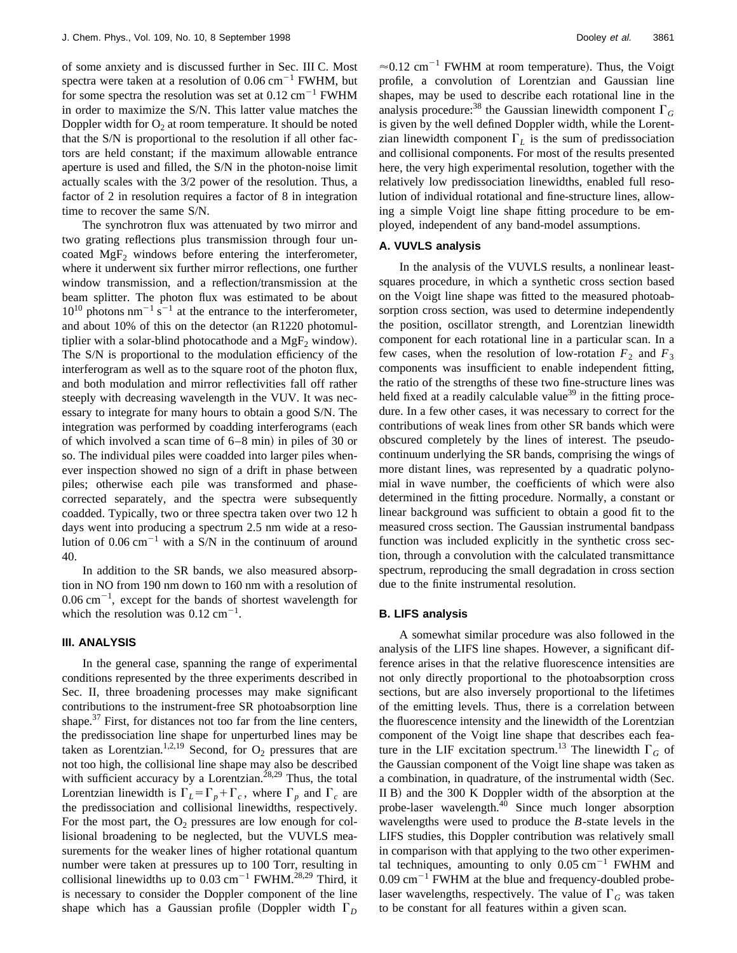of some anxiety and is discussed further in Sec. III C. Most spectra were taken at a resolution of  $0.06 \text{ cm}^{-1}$  FWHM, but for some spectra the resolution was set at  $0.12 \text{ cm}^{-1}$  FWHM in order to maximize the S/N. This latter value matches the Doppler width for  $O_2$  at room temperature. It should be noted that the S/N is proportional to the resolution if all other factors are held constant; if the maximum allowable entrance aperture is used and filled, the S/N in the photon-noise limit actually scales with the 3/2 power of the resolution. Thus, a factor of 2 in resolution requires a factor of 8 in integration time to recover the same S/N.

The synchrotron flux was attenuated by two mirror and two grating reflections plus transmission through four uncoated  $MgF_2$  windows before entering the interferometer, where it underwent six further mirror reflections, one further window transmission, and a reflection/transmission at the beam splitter. The photon flux was estimated to be about  $10^{10}$  photons nm<sup>-1</sup> s<sup>-1</sup> at the entrance to the interferometer, and about  $10\%$  of this on the detector (an R1220 photomultiplier with a solar-blind photocathode and a  $MgF_2$  window). The S/N is proportional to the modulation efficiency of the interferogram as well as to the square root of the photon flux, and both modulation and mirror reflectivities fall off rather steeply with decreasing wavelength in the VUV. It was necessary to integrate for many hours to obtain a good S/N. The integration was performed by coadding interferograms (each of which involved a scan time of  $6-8$  min) in piles of 30 or so. The individual piles were coadded into larger piles whenever inspection showed no sign of a drift in phase between piles; otherwise each pile was transformed and phasecorrected separately, and the spectra were subsequently coadded. Typically, two or three spectra taken over two 12 h days went into producing a spectrum 2.5 nm wide at a resolution of  $0.06 \text{ cm}^{-1}$  with a S/N in the continuum of around 40.

In addition to the SR bands, we also measured absorption in NO from 190 nm down to 160 nm with a resolution of  $0.06$  cm<sup>-1</sup>, except for the bands of shortest wavelength for which the resolution was  $0.12 \text{ cm}^{-1}$ .

#### **III. ANALYSIS**

In the general case, spanning the range of experimental conditions represented by the three experiments described in Sec. II, three broadening processes may make significant contributions to the instrument-free SR photoabsorption line shape. $37$  First, for distances not too far from the line centers, the predissociation line shape for unperturbed lines may be taken as Lorentzian.<sup>1,2,19</sup> Second, for  $O_2$  pressures that are not too high, the collisional line shape may also be described with sufficient accuracy by a Lorentzian.<sup>28,29</sup> Thus, the total Lorentzian linewidth is  $\Gamma_L = \Gamma_p + \Gamma_c$ , where  $\Gamma_p$  and  $\Gamma_c$  are the predissociation and collisional linewidths, respectively. For the most part, the  $O_2$  pressures are low enough for collisional broadening to be neglected, but the VUVLS measurements for the weaker lines of higher rotational quantum number were taken at pressures up to 100 Torr, resulting in collisional linewidths up to  $0.03$  cm<sup>-1</sup> FWHM.<sup>28,29</sup> Third, it is necessary to consider the Doppler component of the line shape which has a Gaussian profile (Doppler width  $\Gamma_D$   $\approx 0.12$  cm<sup>-1</sup> FWHM at room temperature). Thus, the Voigt profile, a convolution of Lorentzian and Gaussian line shapes, may be used to describe each rotational line in the analysis procedure:<sup>38</sup> the Gaussian linewidth component  $\Gamma_G$ is given by the well defined Doppler width, while the Lorentzian linewidth component  $\Gamma_L$  is the sum of predissociation and collisional components. For most of the results presented here, the very high experimental resolution, together with the relatively low predissociation linewidths, enabled full resolution of individual rotational and fine-structure lines, allowing a simple Voigt line shape fitting procedure to be employed, independent of any band-model assumptions.

### **A. VUVLS analysis**

In the analysis of the VUVLS results, a nonlinear leastsquares procedure, in which a synthetic cross section based on the Voigt line shape was fitted to the measured photoabsorption cross section, was used to determine independently the position, oscillator strength, and Lorentzian linewidth component for each rotational line in a particular scan. In a few cases, when the resolution of low-rotation  $F_2$  and  $F_3$ components was insufficient to enable independent fitting, the ratio of the strengths of these two fine-structure lines was held fixed at a readily calculable value<sup>39</sup> in the fitting procedure. In a few other cases, it was necessary to correct for the contributions of weak lines from other SR bands which were obscured completely by the lines of interest. The pseudocontinuum underlying the SR bands, comprising the wings of more distant lines, was represented by a quadratic polynomial in wave number, the coefficients of which were also determined in the fitting procedure. Normally, a constant or linear background was sufficient to obtain a good fit to the measured cross section. The Gaussian instrumental bandpass function was included explicitly in the synthetic cross section, through a convolution with the calculated transmittance spectrum, reproducing the small degradation in cross section due to the finite instrumental resolution.

#### **B. LIFS analysis**

A somewhat similar procedure was also followed in the analysis of the LIFS line shapes. However, a significant difference arises in that the relative fluorescence intensities are not only directly proportional to the photoabsorption cross sections, but are also inversely proportional to the lifetimes of the emitting levels. Thus, there is a correlation between the fluorescence intensity and the linewidth of the Lorentzian component of the Voigt line shape that describes each feature in the LIF excitation spectrum.<sup>13</sup> The linewidth  $\Gamma_G$  of the Gaussian component of the Voigt line shape was taken as a combination, in quadrature, of the instrumental width (Sec. II B) and the 300 K Doppler width of the absorption at the probe-laser wavelength.<sup>40</sup> Since much longer absorption wavelengths were used to produce the *B*-state levels in the LIFS studies, this Doppler contribution was relatively small in comparison with that applying to the two other experimental techniques, amounting to only  $0.05 \text{ cm}^{-1}$  FWHM and  $0.09 \text{ cm}^{-1}$  FWHM at the blue and frequency-doubled probelaser wavelengths, respectively. The value of  $\Gamma_G$  was taken to be constant for all features within a given scan.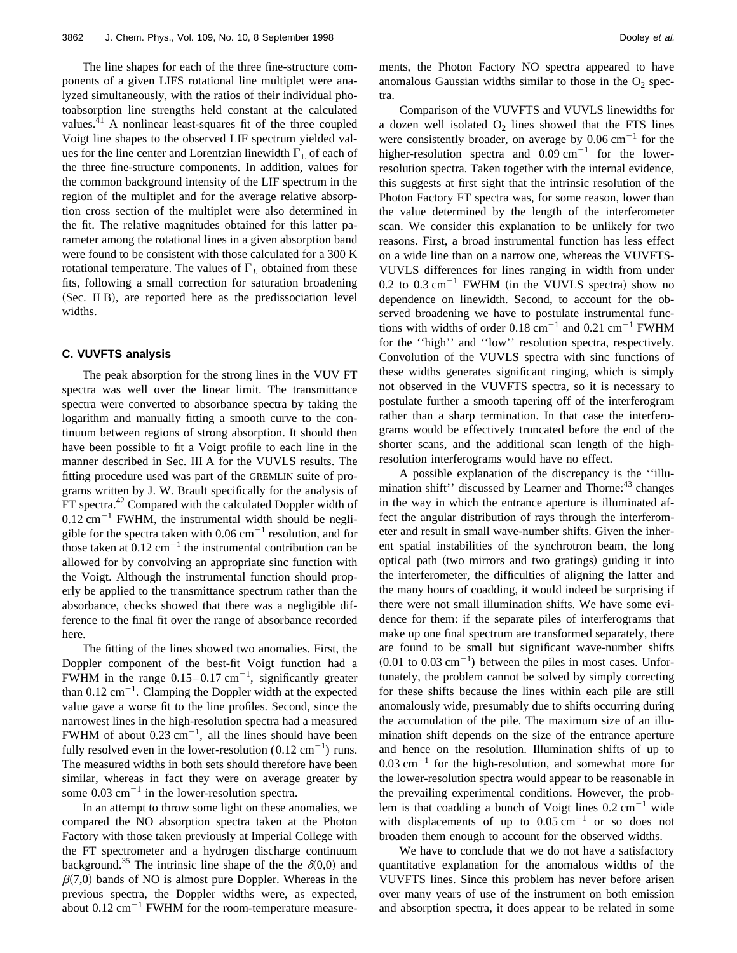The line shapes for each of the three fine-structure components of a given LIFS rotational line multiplet were analyzed simultaneously, with the ratios of their individual photoabsorption line strengths held constant at the calculated values.41 A nonlinear least-squares fit of the three coupled Voigt line shapes to the observed LIF spectrum yielded values for the line center and Lorentzian linewidth  $\Gamma_{\rm L}$  of each of the three fine-structure components. In addition, values for the common background intensity of the LIF spectrum in the region of the multiplet and for the average relative absorption cross section of the multiplet were also determined in the fit. The relative magnitudes obtained for this latter parameter among the rotational lines in a given absorption band were found to be consistent with those calculated for a 300 K rotational temperature. The values of  $\Gamma_L$  obtained from these fits, following a small correction for saturation broadening (Sec. II B), are reported here as the predissociation level widths.

#### **C. VUVFTS analysis**

The peak absorption for the strong lines in the VUV FT spectra was well over the linear limit. The transmittance spectra were converted to absorbance spectra by taking the logarithm and manually fitting a smooth curve to the continuum between regions of strong absorption. It should then have been possible to fit a Voigt profile to each line in the manner described in Sec. III A for the VUVLS results. The fitting procedure used was part of the GREMLIN suite of programs written by J. W. Brault specifically for the analysis of FT spectra.<sup>42</sup> Compared with the calculated Doppler width of  $0.12$  cm<sup>-1</sup> FWHM, the instrumental width should be negligible for the spectra taken with  $0.06 \text{ cm}^{-1}$  resolution, and for those taken at  $0.12 \text{ cm}^{-1}$  the instrumental contribution can be allowed for by convolving an appropriate sinc function with the Voigt. Although the instrumental function should properly be applied to the transmittance spectrum rather than the absorbance, checks showed that there was a negligible difference to the final fit over the range of absorbance recorded here.

The fitting of the lines showed two anomalies. First, the Doppler component of the best-fit Voigt function had a FWHM in the range  $0.15-0.17$  cm<sup>-1</sup>, significantly greater than  $0.12 \text{ cm}^{-1}$ . Clamping the Doppler width at the expected value gave a worse fit to the line profiles. Second, since the narrowest lines in the high-resolution spectra had a measured FWHM of about  $0.23 \text{ cm}^{-1}$ , all the lines should have been fully resolved even in the lower-resolution  $(0.12 \text{ cm}^{-1})$  runs. The measured widths in both sets should therefore have been similar, whereas in fact they were on average greater by some  $0.03 \text{ cm}^{-1}$  in the lower-resolution spectra.

In an attempt to throw some light on these anomalies, we compared the NO absorption spectra taken at the Photon Factory with those taken previously at Imperial College with the FT spectrometer and a hydrogen discharge continuum background.<sup>35</sup> The intrinsic line shape of the the  $\delta(0,0)$  and  $\beta$ (7,0) bands of NO is almost pure Doppler. Whereas in the previous spectra, the Doppler widths were, as expected, about  $0.12 \text{ cm}^{-1}$  FWHM for the room-temperature measurements, the Photon Factory NO spectra appeared to have anomalous Gaussian widths similar to those in the  $O<sub>2</sub>$  spectra.

Comparison of the VUVFTS and VUVLS linewidths for a dozen well isolated  $O_2$  lines showed that the FTS lines were consistently broader, on average by  $0.06 \text{ cm}^{-1}$  for the higher-resolution spectra and  $0.09 \text{ cm}^{-1}$  for the lowerresolution spectra. Taken together with the internal evidence, this suggests at first sight that the intrinsic resolution of the Photon Factory FT spectra was, for some reason, lower than the value determined by the length of the interferometer scan. We consider this explanation to be unlikely for two reasons. First, a broad instrumental function has less effect on a wide line than on a narrow one, whereas the VUVFTS-VUVLS differences for lines ranging in width from under 0.2 to  $0.3 \text{ cm}^{-1}$  FWHM (in the VUVLS spectra) show no dependence on linewidth. Second, to account for the observed broadening we have to postulate instrumental functions with widths of order  $0.18 \text{ cm}^{-1}$  and  $0.21 \text{ cm}^{-1}$  FWHM for the ''high'' and ''low'' resolution spectra, respectively. Convolution of the VUVLS spectra with sinc functions of these widths generates significant ringing, which is simply not observed in the VUVFTS spectra, so it is necessary to postulate further a smooth tapering off of the interferogram rather than a sharp termination. In that case the interferograms would be effectively truncated before the end of the shorter scans, and the additional scan length of the highresolution interferograms would have no effect.

A possible explanation of the discrepancy is the ''illumination shift'' discussed by Learner and Thorne:<sup>43</sup> changes in the way in which the entrance aperture is illuminated affect the angular distribution of rays through the interferometer and result in small wave-number shifts. Given the inherent spatial instabilities of the synchrotron beam, the long optical path (two mirrors and two gratings) guiding it into the interferometer, the difficulties of aligning the latter and the many hours of coadding, it would indeed be surprising if there were not small illumination shifts. We have some evidence for them: if the separate piles of interferograms that make up one final spectrum are transformed separately, there are found to be small but significant wave-number shifts  $(0.01 \text{ to } 0.03 \text{ cm}^{-1})$  between the piles in most cases. Unfortunately, the problem cannot be solved by simply correcting for these shifts because the lines within each pile are still anomalously wide, presumably due to shifts occurring during the accumulation of the pile. The maximum size of an illumination shift depends on the size of the entrance aperture and hence on the resolution. Illumination shifts of up to  $0.03$  cm<sup>-1</sup> for the high-resolution, and somewhat more for the lower-resolution spectra would appear to be reasonable in the prevailing experimental conditions. However, the problem is that coadding a bunch of Voigt lines  $0.2 \text{ cm}^{-1}$  wide with displacements of up to  $0.05 \text{ cm}^{-1}$  or so does not broaden them enough to account for the observed widths.

We have to conclude that we do not have a satisfactory quantitative explanation for the anomalous widths of the VUVFTS lines. Since this problem has never before arisen over many years of use of the instrument on both emission and absorption spectra, it does appear to be related in some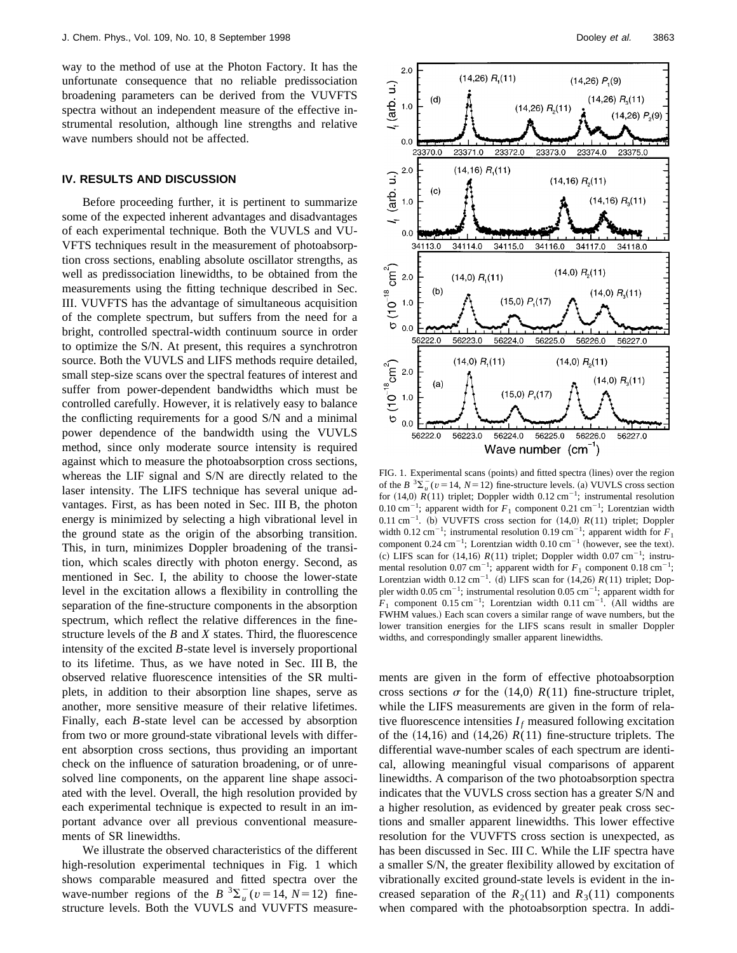way to the method of use at the Photon Factory. It has the unfortunate consequence that no reliable predissociation broadening parameters can be derived from the VUVFTS spectra without an independent measure of the effective instrumental resolution, although line strengths and relative wave numbers should not be affected.

## **IV. RESULTS AND DISCUSSION**

Before proceeding further, it is pertinent to summarize some of the expected inherent advantages and disadvantages of each experimental technique. Both the VUVLS and VU-VFTS techniques result in the measurement of photoabsorption cross sections, enabling absolute oscillator strengths, as well as predissociation linewidths, to be obtained from the measurements using the fitting technique described in Sec. III. VUVFTS has the advantage of simultaneous acquisition of the complete spectrum, but suffers from the need for a bright, controlled spectral-width continuum source in order to optimize the S/N. At present, this requires a synchrotron source. Both the VUVLS and LIFS methods require detailed, small step-size scans over the spectral features of interest and suffer from power-dependent bandwidths which must be controlled carefully. However, it is relatively easy to balance the conflicting requirements for a good S/N and a minimal power dependence of the bandwidth using the VUVLS method, since only moderate source intensity is required against which to measure the photoabsorption cross sections, whereas the LIF signal and S/N are directly related to the laser intensity. The LIFS technique has several unique advantages. First, as has been noted in Sec. III B, the photon energy is minimized by selecting a high vibrational level in the ground state as the origin of the absorbing transition. This, in turn, minimizes Doppler broadening of the transition, which scales directly with photon energy. Second, as mentioned in Sec. I, the ability to choose the lower-state level in the excitation allows a flexibility in controlling the separation of the fine-structure components in the absorption spectrum, which reflect the relative differences in the finestructure levels of the *B* and *X* states. Third, the fluorescence intensity of the excited *B*-state level is inversely proportional to its lifetime. Thus, as we have noted in Sec. III B, the observed relative fluorescence intensities of the SR multiplets, in addition to their absorption line shapes, serve as another, more sensitive measure of their relative lifetimes. Finally, each *B*-state level can be accessed by absorption from two or more ground-state vibrational levels with different absorption cross sections, thus providing an important check on the influence of saturation broadening, or of unresolved line components, on the apparent line shape associated with the level. Overall, the high resolution provided by each experimental technique is expected to result in an important advance over all previous conventional measurements of SR linewidths.

We illustrate the observed characteristics of the different high-resolution experimental techniques in Fig. 1 which shows comparable measured and fitted spectra over the wave-number regions of the  $B^{-3}\Sigma_{u}^{-}(v=14, N=12)$  finestructure levels. Both the VUVLS and VUVFTS measure-



FIG. 1. Experimental scans (points) and fitted spectra (lines) over the region of the  $B^{-3}\Sigma_{u}^{-}(v=14, N=12)$  fine-structure levels. (a) VUVLS cross section for  $(14,0)$   $R(11)$  triplet; Doppler width 0.12 cm<sup>-1</sup>; instrumental resolution  $0.10 \text{ cm}^{-1}$ ; apparent width for  $F_1$  component  $0.21 \text{ cm}^{-1}$ ; Lorentzian width  $0.11 \text{ cm}^{-1}$ . (b) VUVFTS cross section for  $(14,0)$   $R(11)$  triplet; Doppler width 0.12 cm<sup>-1</sup>; instrumental resolution 0.19 cm<sup>-1</sup>; apparent width for  $F_1$ component 0.24 cm<sup>-1</sup>; Lorentzian width  $0.10 \text{ cm}^{-1}$  (however, see the text). (c) LIFS scan for  $(14,16)$   $R(11)$  triplet; Doppler width 0.07 cm<sup>-1</sup>; instrumental resolution  $0.07 \text{ cm}^{-1}$ ; apparent width for  $F_1$  component  $0.18 \text{ cm}^{-1}$ ; Lorentzian width  $0.12 \text{ cm}^{-1}$ . (d) LIFS scan for  $(14,26)$   $R(11)$  triplet; Doppler width 0.05 cm<sup>-1</sup>; instrumental resolution 0.05 cm<sup>-1</sup>; apparent width for  $F_1$  component 0.15 cm<sup>-1</sup>; Lorentzian width 0.11 cm<sup>-1</sup>. (All widths are FWHM values.) Each scan covers a similar range of wave numbers, but the lower transition energies for the LIFS scans result in smaller Doppler widths, and correspondingly smaller apparent linewidths.

ments are given in the form of effective photoabsorption cross sections  $\sigma$  for the (14,0) *R*(11) fine-structure triplet, while the LIFS measurements are given in the form of relative fluorescence intensities  $I_f$  measured following excitation of the  $(14,16)$  and  $(14,26)$   $R(11)$  fine-structure triplets. The differential wave-number scales of each spectrum are identical, allowing meaningful visual comparisons of apparent linewidths. A comparison of the two photoabsorption spectra indicates that the VUVLS cross section has a greater S/N and a higher resolution, as evidenced by greater peak cross sections and smaller apparent linewidths. This lower effective resolution for the VUVFTS cross section is unexpected, as has been discussed in Sec. III C. While the LIF spectra have a smaller S/N, the greater flexibility allowed by excitation of vibrationally excited ground-state levels is evident in the increased separation of the  $R_2(11)$  and  $R_3(11)$  components when compared with the photoabsorption spectra. In addi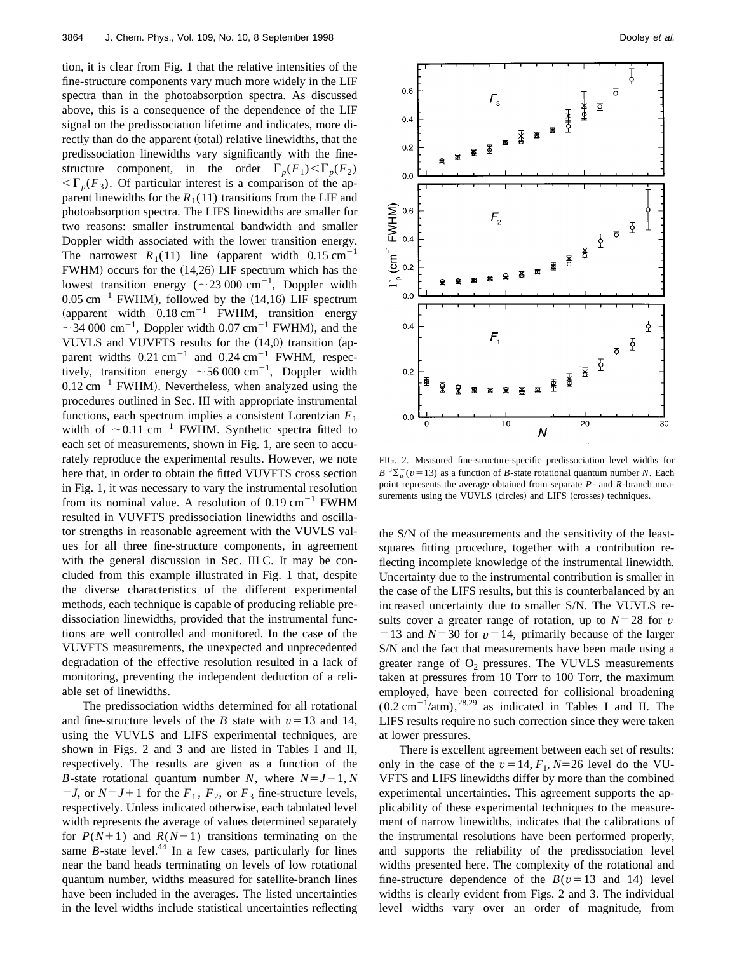tion, it is clear from Fig. 1 that the relative intensities of the fine-structure components vary much more widely in the LIF spectra than in the photoabsorption spectra. As discussed above, this is a consequence of the dependence of the LIF signal on the predissociation lifetime and indicates, more directly than do the apparent (total) relative linewidths, that the predissociation linewidths vary significantly with the finestructure component, in the order  $\Gamma_p(F_1) < \Gamma_p(F_2)$  $\langle \Gamma_n(F_3)$ . Of particular interest is a comparison of the apparent linewidths for the  $R_1(11)$  transitions from the LIF and photoabsorption spectra. The LIFS linewidths are smaller for two reasons: smaller instrumental bandwidth and smaller Doppler width associated with the lower transition energy. The narrowest  $R_1(11)$  line (apparent width 0.15 cm<sup>-1</sup> FWHM) occurs for the  $(14,26)$  LIF spectrum which has the lowest transition energy ( $\sim$ 23 000 cm<sup>-1</sup>, Doppler width  $0.05$  cm<sup>-1</sup> FWHM), followed by the  $(14,16)$  LIF spectrum (apparent width  $0.18 \text{ cm}^{-1}$  FWHM, transition energy  $\sim$  34 000 cm<sup>-1</sup>, Doppler width 0.07 cm<sup>-1</sup> FWHM), and the VUVLS and VUVFTS results for the  $(14,0)$  transition (apparent widths  $0.21 \text{ cm}^{-1}$  and  $0.24 \text{ cm}^{-1}$  FWHM, respectively, transition energy  $\sim 56 000 \text{ cm}^{-1}$ , Doppler width  $0.12 \text{ cm}^{-1}$  FWHM). Nevertheless, when analyzed using the procedures outlined in Sec. III with appropriate instrumental functions, each spectrum implies a consistent Lorentzian  $F_1$ width of  $\sim$  0.11 cm<sup>-1</sup> FWHM. Synthetic spectra fitted to each set of measurements, shown in Fig. 1, are seen to accurately reproduce the experimental results. However, we note here that, in order to obtain the fitted VUVFTS cross section in Fig. 1, it was necessary to vary the instrumental resolution from its nominal value. A resolution of  $0.19 \text{ cm}^{-1}$  FWHM resulted in VUVFTS predissociation linewidths and oscillator strengths in reasonable agreement with the VUVLS values for all three fine-structure components, in agreement with the general discussion in Sec. III C. It may be concluded from this example illustrated in Fig. 1 that, despite the diverse characteristics of the different experimental methods, each technique is capable of producing reliable predissociation linewidths, provided that the instrumental functions are well controlled and monitored. In the case of the VUVFTS measurements, the unexpected and unprecedented degradation of the effective resolution resulted in a lack of monitoring, preventing the independent deduction of a reliable set of linewidths.

The predissociation widths determined for all rotational and fine-structure levels of the *B* state with  $v=13$  and 14, using the VUVLS and LIFS experimental techniques, are shown in Figs. 2 and 3 and are listed in Tables I and II, respectively. The results are given as a function of the *B*-state rotational quantum number *N*, where  $N = J - 1$ , *N*  $=$ *J*, or *N*=*J*+1 for the *F*<sub>1</sub>, *F*<sub>2</sub>, or *F*<sub>3</sub> fine-structure levels, respectively. Unless indicated otherwise, each tabulated level width represents the average of values determined separately for  $P(N+1)$  and  $R(N-1)$  transitions terminating on the same  $B$ -state level.<sup>44</sup> In a few cases, particularly for lines near the band heads terminating on levels of low rotational quantum number, widths measured for satellite-branch lines have been included in the averages. The listed uncertainties in the level widths include statistical uncertainties reflecting



FIG. 2. Measured fine-structure-specific predissociation level widths for  $B^{-3}\Sigma_{\mu}^{-}(v=13)$  as a function of *B*-state rotational quantum number *N*. Each point represents the average obtained from separate *P*- and *R*-branch measurements using the VUVLS (circles) and LIFS (crosses) techniques.

the S/N of the measurements and the sensitivity of the leastsquares fitting procedure, together with a contribution reflecting incomplete knowledge of the instrumental linewidth. Uncertainty due to the instrumental contribution is smaller in the case of the LIFS results, but this is counterbalanced by an increased uncertainty due to smaller S/N. The VUVLS results cover a greater range of rotation, up to  $N=28$  for *v*  $=$  13 and *N* = 30 for  $v = 14$ , primarily because of the larger S/N and the fact that measurements have been made using a greater range of  $O_2$  pressures. The VUVLS measurements taken at pressures from 10 Torr to 100 Torr, the maximum employed, have been corrected for collisional broadening  $(0.2 \text{ cm}^{-1}/\text{atm})$ ,  $^{28,29}$  as indicated in Tables I and II. The LIFS results require no such correction since they were taken at lower pressures.

There is excellent agreement between each set of results: only in the case of the  $v=14$ ,  $F_1$ ,  $N=26$  level do the VU-VFTS and LIFS linewidths differ by more than the combined experimental uncertainties. This agreement supports the applicability of these experimental techniques to the measurement of narrow linewidths, indicates that the calibrations of the instrumental resolutions have been performed properly, and supports the reliability of the predissociation level widths presented here. The complexity of the rotational and fine-structure dependence of the  $B(v=13$  and 14) level widths is clearly evident from Figs. 2 and 3. The individual level widths vary over an order of magnitude, from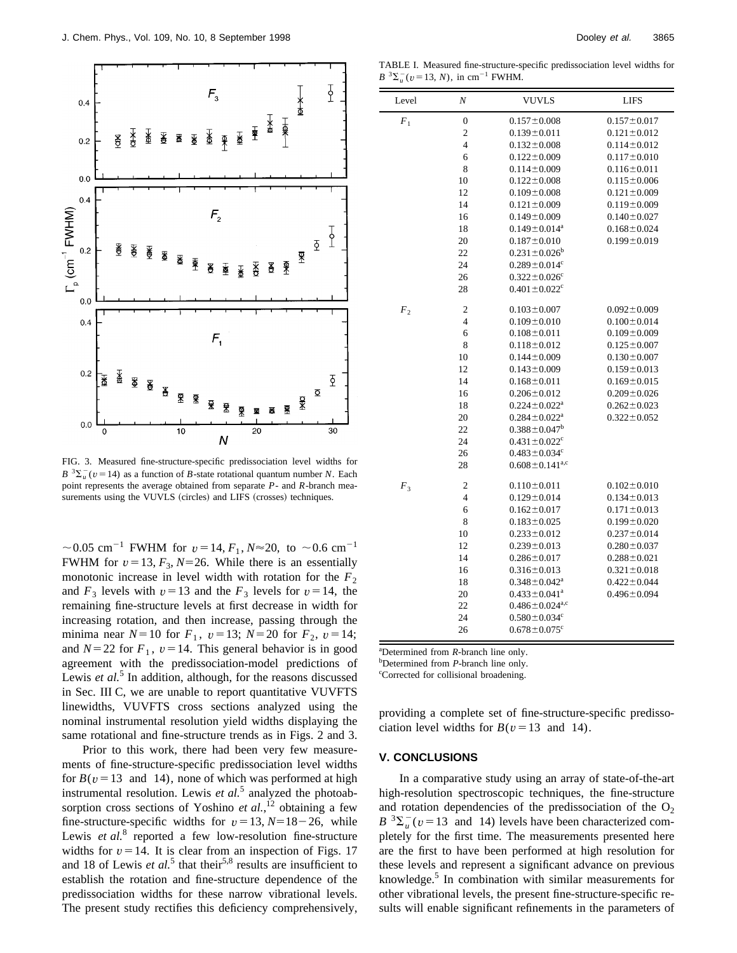

FIG. 3. Measured fine-structure-specific predissociation level widths for  $B^{-3}\Sigma_{u}^{-}(v=14)$  as a function of *B*-state rotational quantum number *N*. Each point represents the average obtained from separate *P*- and *R*-branch measurements using the VUVLS (circles) and LIFS (crosses) techniques.

 $\sim$  0.05 cm<sup>-1</sup> FWHM for  $v = 14$ ,  $F_1$ ,  $N \approx 20$ , to  $\sim$  0.6 cm<sup>-1</sup> FWHM for  $v = 13$ ,  $F_3$ ,  $N=26$ . While there is an essentially monotonic increase in level width with rotation for the  $F_2$ and  $F_3$  levels with  $v=13$  and the  $F_3$  levels for  $v=14$ , the remaining fine-structure levels at first decrease in width for increasing rotation, and then increase, passing through the minima near  $N=10$  for  $F_1$ ,  $v=13$ ;  $N=20$  for  $F_2$ ,  $v=14$ ; and  $N=22$  for  $F_1$ ,  $v=14$ . This general behavior is in good agreement with the predissociation-model predictions of Lewis *et al.*<sup>5</sup> In addition, although, for the reasons discussed in Sec. III C, we are unable to report quantitative VUVFTS linewidths, VUVFTS cross sections analyzed using the nominal instrumental resolution yield widths displaying the same rotational and fine-structure trends as in Figs. 2 and 3.

Prior to this work, there had been very few measurements of fine-structure-specific predissociation level widths for  $B(v=13$  and 14), none of which was performed at high instrumental resolution. Lewis *et al.*<sup>5</sup> analyzed the photoabsorption cross sections of Yoshino *et al.*, <sup>12</sup> obtaining a few fine-structure-specific widths for  $v=13$ ,  $N=18-26$ , while Lewis *et al.*<sup>8</sup> reported a few low-resolution fine-structure widths for  $v = 14$ . It is clear from an inspection of Figs. 17 and 18 of Lewis  $et al.<sup>5</sup>$  that their<sup>5,8</sup> results are insufficient to establish the rotation and fine-structure dependence of the predissociation widths for these narrow vibrational levels. The present study rectifies this deficiency comprehensively,

TABLE I. Measured fine-structure-specific predissociation level widths for  $B^{-3}\Sigma_{u}^{-}(v=13, N)$ , in cm<sup>-1</sup> FWHM.

| Level              | Ν                | <b>VUVLS</b>                     | <b>LIFS</b>       |
|--------------------|------------------|----------------------------------|-------------------|
| $F_1$              | $\boldsymbol{0}$ | $0.157 \pm 0.008$                | $0.157 \pm 0.017$ |
|                    | 2                | $0.139 \pm 0.011$                | $0.121 \pm 0.012$ |
|                    | $\overline{4}$   | $0.132 \pm 0.008$                | $0.114 \pm 0.012$ |
|                    | 6                | $0.122 \pm 0.009$                | $0.117 \pm 0.010$ |
|                    | 8                | $0.114 \pm 0.009$                | $0.116 \pm 0.011$ |
|                    | 10               | $0.122 \pm 0.008$                | $0.115 \pm 0.006$ |
|                    | 12               | $0.109 \pm 0.008$                | $0.121 \pm 0.009$ |
|                    | 14               | $0.121 \pm 0.009$                | $0.119 \pm 0.009$ |
|                    | 16               | $0.149 \pm 0.009$                | $0.140 \pm 0.027$ |
|                    | 18               | $0.149 \pm 0.014$ <sup>a</sup>   | $0.168 \pm 0.024$ |
|                    | 20               | $0.187 \pm 0.010$                | $0.199 \pm 0.019$ |
|                    | 22               | $0.231 \pm 0.026^b$              |                   |
|                    | 24               | $0.289 \pm 0.014$ <sup>c</sup>   |                   |
|                    | 26               | $0.322 \pm 0.026$ <sup>c</sup>   |                   |
|                    | 28               | $0.401 \pm 0.022$ <sup>c</sup>   |                   |
| F <sub>2</sub>     | $\overline{c}$   | $0.103 \pm 0.007$                | $0.092 \pm 0.009$ |
|                    | 4                | $0.109 \pm 0.010$                | $0.100 \pm 0.014$ |
|                    | 6                | $0.108 \pm 0.011$                | $0.109 \pm 0.009$ |
|                    | 8                | $0.118 \pm 0.012$                | $0.125 \pm 0.007$ |
|                    | 10               | $0.144 \pm 0.009$                | $0.130 \pm 0.007$ |
|                    | 12               | $0.143 \pm 0.009$                | $0.159 \pm 0.013$ |
|                    | 14               | $0.168 \pm 0.011$                | $0.169 \pm 0.015$ |
|                    | 16               | $0.206 \pm 0.012$                | $0.209 \pm 0.026$ |
|                    | 18               | $0.224 \pm 0.022^a$              | $0.262 \pm 0.023$ |
|                    | 20               | $0.284 \pm 0.022$ <sup>a</sup>   | $0.322 \pm 0.052$ |
|                    | 22               | $0.388 \pm 0.047^b$              |                   |
|                    | 24               | $0.431 \pm 0.022$ <sup>c</sup>   |                   |
|                    | 26               | $0.483 \pm 0.034$ <sup>c</sup>   |                   |
|                    | 28               | $0.608 \pm 0.141^{\text{a,c}}$   |                   |
| $\boldsymbol{F}_3$ | 2                | $0.110 \pm 0.011$                | $0.102 \pm 0.010$ |
|                    | 4                | $0.129 \pm 0.014$                | $0.134 \pm 0.013$ |
|                    | 6                | $0.162 \pm 0.017$                | $0.171 \pm 0.013$ |
|                    | 8                | $0.183 \pm 0.025$                | $0.199 \pm 0.020$ |
|                    | 10               | $0.233 \pm 0.012$                | $0.237 \pm 0.014$ |
|                    | 12               | $0.239 \pm 0.013$                | $0.280 \pm 0.037$ |
|                    | 14               | $0.286 \pm 0.017$                | $0.288 \pm 0.021$ |
|                    | 16               | $0.316 \pm 0.013$                | $0.321 \pm 0.018$ |
|                    | 18               | $0.348 \pm 0.042^a$              | $0.422 \pm 0.044$ |
|                    | 20               | $0.433 \pm 0.041$ <sup>a</sup>   | $0.496 \pm 0.094$ |
|                    | 22               | $0.486 \pm 0.024$ <sup>a,c</sup> |                   |
|                    | 24               | $0.580 \pm 0.034$ <sup>c</sup>   |                   |
|                    | 26               | $0.678 \pm 0.075$ <sup>c</sup>   |                   |

a Determined from *R*-branch line only.

b Determined from *P*-branch line only.

c Corrected for collisional broadening.

providing a complete set of fine-structure-specific predissociation level widths for  $B(v=13$  and 14).

#### **V. CONCLUSIONS**

In a comparative study using an array of state-of-the-art high-resolution spectroscopic techniques, the fine-structure and rotation dependencies of the predissociation of the  $O_2$  $B^{-3}\Sigma_{u}^{-}(v=13)$  and 14) levels have been characterized completely for the first time. The measurements presented here are the first to have been performed at high resolution for these levels and represent a significant advance on previous knowledge.5 In combination with similar measurements for other vibrational levels, the present fine-structure-specific results will enable significant refinements in the parameters of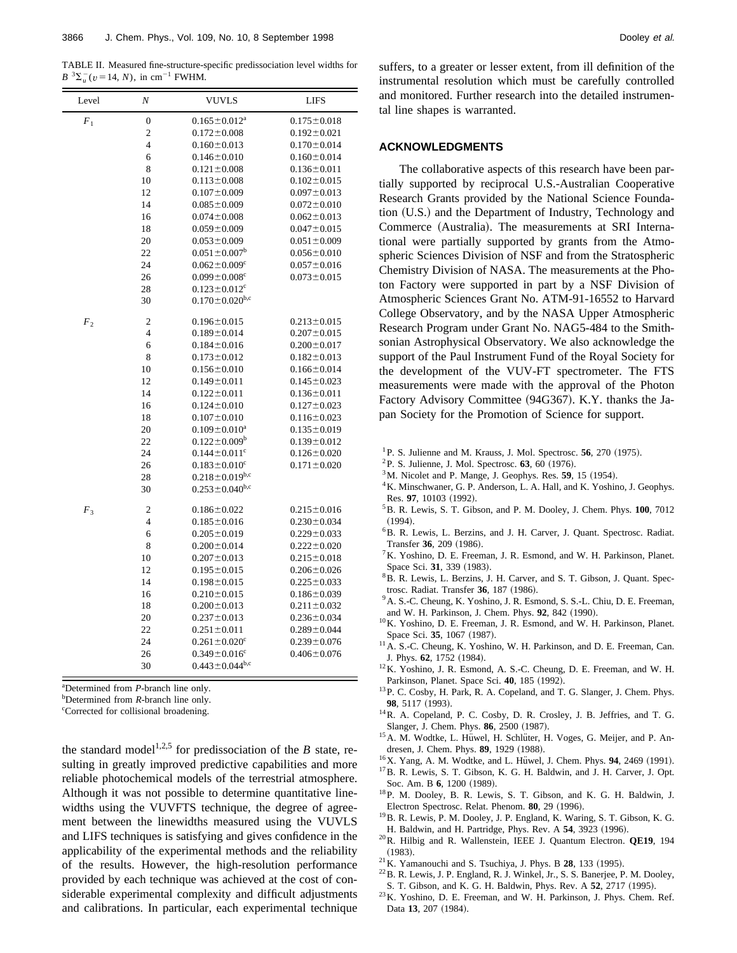TABLE II. Measured fine-structure-specific predissociation level widths for  $B^{3}\Sigma_{u}^{-}(v=14, N)$ , in cm<sup>-1</sup> FWHM.

| Level          | N                | <b>VUVLS</b>                     | <b>LIFS</b>       |
|----------------|------------------|----------------------------------|-------------------|
| $F_1$          | $\boldsymbol{0}$ | $0.165 \pm 0.012$ <sup>a</sup>   | $0.175 \pm 0.018$ |
|                | 2                | $0.172 \pm 0.008$                | $0.192 \pm 0.021$ |
|                | $\overline{4}$   | $0.160 \pm 0.013$                | $0.170 \pm 0.014$ |
|                | 6                | $0.146 \pm 0.010$                | $0.160 \pm 0.014$ |
|                | 8                | $0.121 \pm 0.008$                | $0.136 \pm 0.011$ |
|                | 10               | $0.113 \pm 0.008$                | $0.102 \pm 0.015$ |
|                | 12               | $0.107 \pm 0.009$                | $0.097 \pm 0.013$ |
|                | 14               | $0.085 \pm 0.009$                | $0.072 \pm 0.010$ |
|                | 16               | $0.074 \pm 0.008$                | $0.062 \pm 0.013$ |
|                | 18               | $0.059 \pm 0.009$                | $0.047 \pm 0.015$ |
|                | 20               | $0.053 \pm 0.009$                | $0.051 \pm 0.009$ |
|                | 22               | $0.051 \pm 0.007^b$              | $0.056 \pm 0.010$ |
|                | 24               | $0.062 \pm 0.009$ <sup>c</sup>   | $0.057 \pm 0.016$ |
|                | 26               | $0.099 \pm 0.008$ <sup>c</sup>   | $0.073 \pm 0.015$ |
|                | 28               | $0.123 \pm 0.012$ <sup>c</sup>   |                   |
|                | 30               | $0.170 \pm 0.020$ <sup>b,c</sup> |                   |
| F <sub>2</sub> | 2                | $0.196 \pm 0.015$                | $0.213 \pm 0.015$ |
|                | $\overline{4}$   | $0.189 \pm 0.014$                | $0.207 \pm 0.015$ |
|                | 6                | $0.184 \pm 0.016$                | $0.200 \pm 0.017$ |
|                | 8                | $0.173 \pm 0.012$                | $0.182 \pm 0.013$ |
|                | 10               | $0.156 \pm 0.010$                | $0.166 \pm 0.014$ |
|                | 12               | $0.149 \pm 0.011$                | $0.145 \pm 0.023$ |
|                | 14               | $0.122 \pm 0.011$                | $0.136 \pm 0.011$ |
|                | 16               | $0.124 \pm 0.010$                | $0.127 \pm 0.023$ |
|                | 18               | $0.107 \pm 0.010$                | $0.116 \pm 0.023$ |
|                | 20               | $0.109 \pm 0.010^a$              | $0.135 \pm 0.019$ |
|                | 22               | $0.122 \pm 0.009^b$              | $0.139 \pm 0.012$ |
|                | 24               | $0.144 \pm 0.011$ <sup>c</sup>   | $0.126 \pm 0.020$ |
|                | 26               | $0.183 \pm 0.010$ <sup>c</sup>   | $0.171 \pm 0.020$ |
|                | 28               | $0.218 \pm 0.019^{b,c}$          |                   |
|                | 30               | $0.253 \pm 0.040^{b,c}$          |                   |
| $F_3$          | 2                | $0.186 \pm 0.022$                | $0.215 \pm 0.016$ |
|                | $\overline{4}$   | $0.185 \pm 0.016$                | $0.230 \pm 0.034$ |
|                | 6                | $0.205 \pm 0.019$                | $0.229 \pm 0.033$ |
|                | 8                | $0.200 \pm 0.014$                | $0.222 \pm 0.020$ |
|                | 10               | $0.207 \pm 0.013$                | $0.215 \pm 0.018$ |
|                | 12               | $0.195 \pm 0.015$                | $0.206 \pm 0.026$ |
|                | 14               | $0.198 \pm 0.015$                | $0.225 \pm 0.033$ |
|                | 16               | $0.210 \pm 0.015$                | $0.186 \pm 0.039$ |
|                | 18               | $0.200 \pm 0.013$                | $0.211 \pm 0.032$ |
|                | 20               | $0.237 \pm 0.013$                | $0.236 \pm 0.034$ |
|                | 22               | $0.251 \pm 0.011$                | $0.289 \pm 0.044$ |
|                | 24               | $0.261 \pm 0.020$ <sup>c</sup>   | $0.239 \pm 0.076$ |
|                | 26               | $0.349 \pm 0.016$ <sup>c</sup>   | $0.406 \pm 0.076$ |
|                | 30               | $0.443 \pm 0.044$ <sup>b,c</sup> |                   |

a Determined from *P*-branch line only.

b Determined from *R*-branch line only.

c Corrected for collisional broadening.

the standard model<sup>1,2,5</sup> for predissociation of the *B* state, resulting in greatly improved predictive capabilities and more reliable photochemical models of the terrestrial atmosphere. Although it was not possible to determine quantitative linewidths using the VUVFTS technique, the degree of agreement between the linewidths measured using the VUVLS and LIFS techniques is satisfying and gives confidence in the applicability of the experimental methods and the reliability of the results. However, the high-resolution performance provided by each technique was achieved at the cost of considerable experimental complexity and difficult adjustments and calibrations. In particular, each experimental technique suffers, to a greater or lesser extent, from ill definition of the instrumental resolution which must be carefully controlled and monitored. Further research into the detailed instrumental line shapes is warranted.

## **ACKNOWLEDGMENTS**

The collaborative aspects of this research have been partially supported by reciprocal U.S.-Australian Cooperative Research Grants provided by the National Science Foundation (U.S.) and the Department of Industry, Technology and Commerce (Australia). The measurements at SRI International were partially supported by grants from the Atmospheric Sciences Division of NSF and from the Stratospheric Chemistry Division of NASA. The measurements at the Photon Factory were supported in part by a NSF Division of Atmospheric Sciences Grant No. ATM-91-16552 to Harvard College Observatory, and by the NASA Upper Atmospheric Research Program under Grant No. NAG5-484 to the Smithsonian Astrophysical Observatory. We also acknowledge the support of the Paul Instrument Fund of the Royal Society for the development of the VUV-FT spectrometer. The FTS measurements were made with the approval of the Photon Factory Advisory Committee (94G367). K.Y. thanks the Japan Society for the Promotion of Science for support.

- $^{2}$ P. S. Julienne, J. Mol. Spectrosc. **63**, 60 (1976).
- <sup>3</sup>M. Nicolet and P. Mange, J. Geophys. Res. 59, 15 (1954).
- <sup>4</sup>K. Minschwaner, G. P. Anderson, L. A. Hall, and K. Yoshino, J. Geophys. Res. 97, 10103 (1992).
- 5B. R. Lewis, S. T. Gibson, and P. M. Dooley, J. Chem. Phys. **100**, 7012  $(1994).$
- 6B. R. Lewis, L. Berzins, and J. H. Carver, J. Quant. Spectrosc. Radiat. Transfer 36, 209 (1986).
- ${}^{7}$ K. Yoshino, D. E. Freeman, J. R. Esmond, and W. H. Parkinson, Planet. Space Sci. 31, 339 (1983).
- <sup>8</sup>B. R. Lewis, L. Berzins, J. H. Carver, and S. T. Gibson, J. Quant. Spectrosc. Radiat. Transfer 36, 187 (1986).
- <sup>9</sup> A. S.-C. Cheung, K. Yoshino, J. R. Esmond, S. S.-L. Chiu, D. E. Freeman, and W. H. Parkinson, J. Chem. Phys. 92, 842 (1990).
- 10K. Yoshino, D. E. Freeman, J. R. Esmond, and W. H. Parkinson, Planet. Space Sci. 35, 1067 (1987).
- <sup>11</sup> A. S.-C. Cheung, K. Yoshino, W. H. Parkinson, and D. E. Freeman, Can. J. Phys. 62, 1752 (1984).
- <sup>12</sup>K. Yoshino, J. R. Esmond, A. S.-C. Cheung, D. E. Freeman, and W. H. Parkinson, Planet. Space Sci. 40, 185 (1992).
- 13P. C. Cosby, H. Park, R. A. Copeland, and T. G. Slanger, J. Chem. Phys. **98**, 5117 (1993).
- 14R. A. Copeland, P. C. Cosby, D. R. Crosley, J. B. Jeffries, and T. G. Slanger, J. Chem. Phys. 86, 2500 (1987).
- <sup>15</sup> A. M. Wodtke, L. Hüwel, H. Schlüter, H. Voges, G. Meijer, and P. Andresen, J. Chem. Phys. **89**, 1929 (1988).
- <sup>16</sup>X. Yang, A. M. Wodtke, and L. Hüwel, J. Chem. Phys. **94**, 2469 (1991).
- <sup>17</sup>B. R. Lewis, S. T. Gibson, K. G. H. Baldwin, and J. H. Carver, J. Opt. Soc. Am. B 6, 1200 (1989).
- 18P. M. Dooley, B. R. Lewis, S. T. Gibson, and K. G. H. Baldwin, J. Electron Spectrosc. Relat. Phenom. 80, 29 (1996).
- 19B. R. Lewis, P. M. Dooley, J. P. England, K. Waring, S. T. Gibson, K. G. H. Baldwin, and H. Partridge, Phys. Rev. A 54, 3923 (1996).
- 20R. Hilbig and R. Wallenstein, IEEE J. Quantum Electron. **QE19**, 194  $(1983).$
- $21$  K. Yamanouchi and S. Tsuchiya, J. Phys. B 28, 133 (1995).
- 22B. R. Lewis, J. P. England, R. J. Winkel, Jr., S. S. Banerjee, P. M. Dooley,
- S. T. Gibson, and K. G. H. Baldwin, Phys. Rev. A 52, 2717 (1995).
- 23K. Yoshino, D. E. Freeman, and W. H. Parkinson, J. Phys. Chem. Ref. Data 13, 207 (1984).

 $1$ P. S. Julienne and M. Krauss, J. Mol. Spectrosc. **56**, 270 (1975).